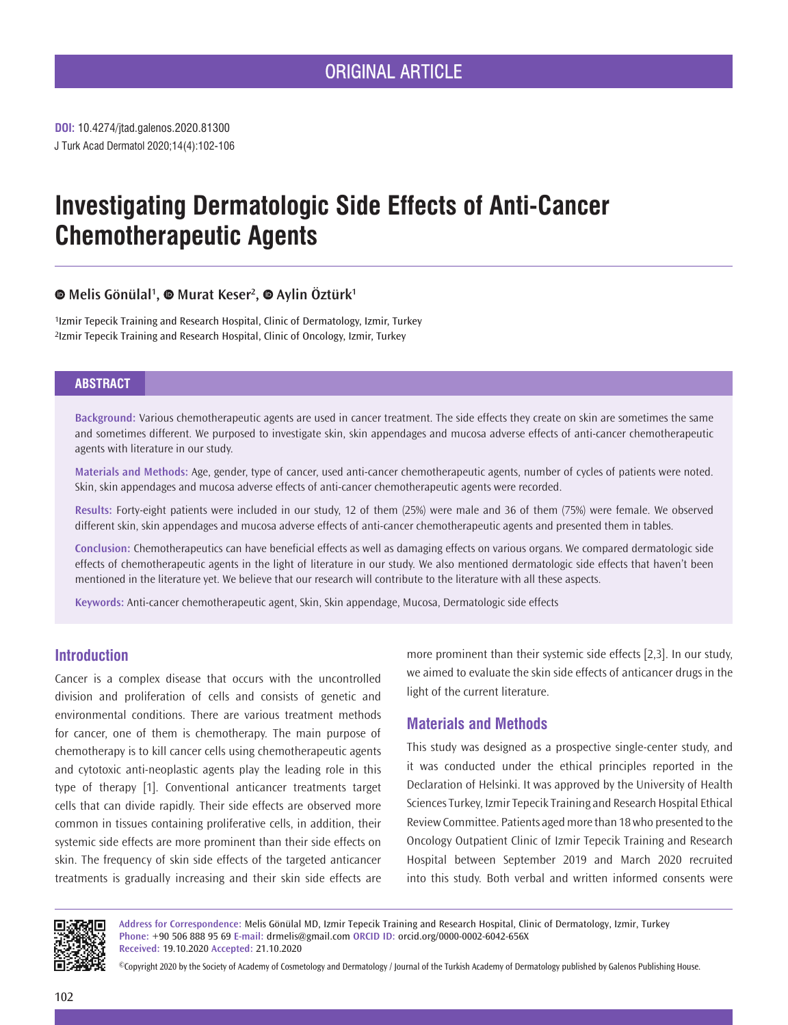**DOI:** 10.4274/jtad.galenos.2020.81300 J Turk Acad Dermatol 2020;14(4):102-106

# **Investigating Dermatologic Side Effects of Anti-Cancer Chemotherapeutic Agents**

# **Melis Gönülal1 ,Murat Keser<sup>2</sup> ,Aylin Öztürk<sup>1</sup>**

1Izmir Tepecik Training and Research Hospital, Clinic of Dermatology, Izmir, Turkey 2Izmir Tepecik Training and Research Hospital, Clinic of Oncology, Izmir, Turkey

## **ABSTRACT**

**Background:** Various chemotherapeutic agents are used in cancer treatment. The side effects they create on skin are sometimes the same and sometimes different. We purposed to investigate skin, skin appendages and mucosa adverse effects of anti-cancer chemotherapeutic agents with literature in our study.

**Materials and Methods:** Age, gender, type of cancer, used anti-cancer chemotherapeutic agents, number of cycles of patients were noted. Skin, skin appendages and mucosa adverse effects of anti-cancer chemotherapeutic agents were recorded.

**Results:** Forty-eight patients were included in our study, 12 of them (25%) were male and 36 of them (75%) were female. We observed different skin, skin appendages and mucosa adverse effects of anti-cancer chemotherapeutic agents and presented them in tables.

**Conclusion:** Chemotherapeutics can have beneficial effects as well as damaging effects on various organs. We compared dermatologic side effects of chemotherapeutic agents in the light of literature in our study. We also mentioned dermatologic side effects that haven't been mentioned in the literature yet. We believe that our research will contribute to the literature with all these aspects.

**Keywords:** Anti-cancer chemotherapeutic agent, Skin, Skin appendage, Mucosa, Dermatologic side effects

## **Introduction**

Cancer is a complex disease that occurs with the uncontrolled division and proliferation of cells and consists of genetic and environmental conditions. There are various treatment methods for cancer, one of them is chemotherapy. The main purpose of chemotherapy is to kill cancer cells using chemotherapeutic agents and cytotoxic anti-neoplastic agents play the leading role in this type of therapy [1]. Conventional anticancer treatments target cells that can divide rapidly. Their side effects are observed more common in tissues containing proliferative cells, in addition, their systemic side effects are more prominent than their side effects on skin. The frequency of skin side effects of the targeted anticancer treatments is gradually increasing and their skin side effects are

more prominent than their systemic side effects [2,3]. In our study, we aimed to evaluate the skin side effects of anticancer drugs in the light of the current literature.

# **Materials and Methods**

This study was designed as a prospective single-center study, and it was conducted under the ethical principles reported in the Declaration of Helsinki. It was approved by the University of Health Sciences Turkey, Izmir Tepecik Training and Research Hospital Ethical Review Committee. Patients aged more than 18 who presented to the Oncology Outpatient Clinic of Izmir Tepecik Training and Research Hospital between September 2019 and March 2020 recruited into this study. Both verbal and written informed consents were



**Address for Correspondence:** Melis Gönülal MD, Izmir Tepecik Training and Research Hospital, Clinic of Dermatology, Izmir, Turkey **Phone:** +90 506 888 95 69 **E-mail:** drmelis@gmail.com **ORCID ID:** orcid.org/0000-0002-6042-656X **Received:** 19.10.2020 **Accepted:** 21.10.2020

©Copyright 2020 by the Society of Academy of Cosmetology and Dermatology / Journal of the Turkish Academy of Dermatology published by Galenos Publishing House.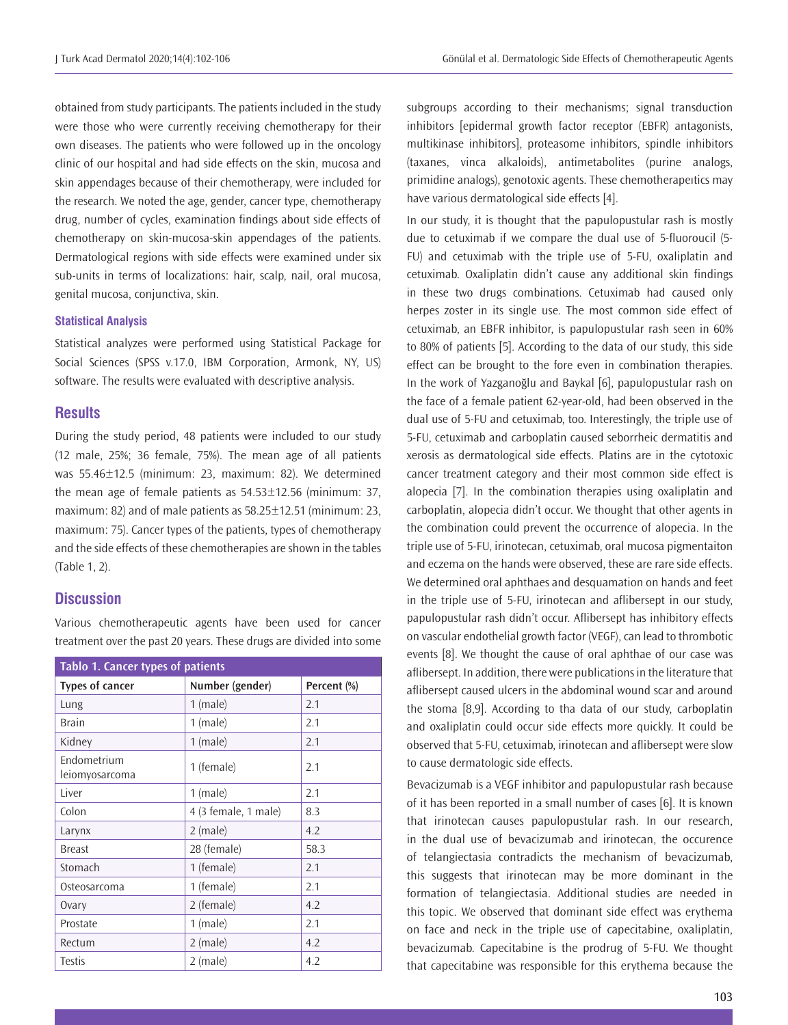obtained from study participants. The patients included in the study were those who were currently receiving chemotherapy for their own diseases. The patients who were followed up in the oncology clinic of our hospital and had side effects on the skin, mucosa and skin appendages because of their chemotherapy, were included for the research. We noted the age, gender, cancer type, chemotherapy drug, number of cycles, examination findings about side effects of chemotherapy on skin-mucosa-skin appendages of the patients. Dermatological regions with side effects were examined under six sub-units in terms of localizations: hair, scalp, nail, oral mucosa, genital mucosa, conjunctiva, skin.

#### **Statistical Analysis**

Statistical analyzes were performed using Statistical Package for Social Sciences (SPSS v.17.0, IBM Corporation, Armonk, NY, US) software. The results were evaluated with descriptive analysis.

## **Results**

During the study period, 48 patients were included to our study (12 male, 25%; 36 female, 75%). The mean age of all patients was 55.46±12.5 (minimum: 23, maximum: 82). We determined the mean age of female patients as 54.53±12.56 (minimum: 37, maximum: 82) and of male patients as 58.25±12.51 (minimum: 23, maximum: 75). Cancer types of the patients, types of chemotherapy and the side effects of these chemotherapies are shown in the tables (Table 1, 2).

#### **Discussion**

Various chemotherapeutic agents have been used for cancer treatment over the past 20 years. These drugs are divided into some

| Tablo 1. Cancer types of patients |                             |             |  |  |
|-----------------------------------|-----------------------------|-------------|--|--|
| <b>Types of cancer</b>            | Number (gender)             | Percent (%) |  |  |
| Lung                              | $1$ (male)                  | 2.1         |  |  |
| <b>Brain</b>                      | $1$ (male)<br>2.1           |             |  |  |
| Kidney                            | $1$ (male)<br>2.1           |             |  |  |
| Endometrium<br>leiomyosarcoma     | 1 (female)                  | 2.1         |  |  |
| Liver                             | $1$ (male)                  | 2.1         |  |  |
| Colon                             | 4 (3 female, 1 male)<br>8.3 |             |  |  |
| Larynx                            | $2$ (male)<br>4.2           |             |  |  |
| <b>Breast</b>                     | 28 (female)<br>58.3         |             |  |  |
| Stomach                           | 1 (female)<br>2.1           |             |  |  |
| Osteosarcoma                      | 1 (female)<br>2.1           |             |  |  |
| Ovary                             | 2 (female)<br>4.2           |             |  |  |
| Prostate                          | $1$ (male)<br>2.1           |             |  |  |
| Rectum                            | $2$ (male)<br>4.2           |             |  |  |
| <b>Testis</b>                     | 4.2<br>2 (male)             |             |  |  |

subgroups according to their mechanisms; signal transduction inhibitors [epidermal growth factor receptor (EBFR) antagonists, multikinase inhibitors], proteasome inhibitors, spindle inhibitors (taxanes, vinca alkaloids), antimetabolites (purine analogs, primidine analogs), genotoxic agents. These chemotherapeıtics may have various dermatological side effects [4].

In our study, it is thought that the papulopustular rash is mostly due to cetuximab if we compare the dual use of 5-fluoroucil (5- FU) and cetuximab with the triple use of 5-FU, oxaliplatin and cetuximab. Oxaliplatin didn't cause any additional skin findings in these two drugs combinations. Cetuximab had caused only herpes zoster in its single use. The most common side effect of cetuximab, an EBFR inhibitor, is papulopustular rash seen in 60% to 80% of patients [5]. According to the data of our study, this side effect can be brought to the fore even in combination therapies. In the work of Yazganoğlu and Baykal [6], papulopustular rash on the face of a female patient 62-year-old, had been observed in the dual use of 5-FU and cetuximab, too. Interestingly, the triple use of 5-FU, cetuximab and carboplatin caused seborrheic dermatitis and xerosis as dermatological side effects. Platins are in the cytotoxic cancer treatment category and their most common side effect is alopecia [7]. In the combination therapies using oxaliplatin and carboplatin, alopecia didn't occur. We thought that other agents in the combination could prevent the occurrence of alopecia. In the triple use of 5-FU, irinotecan, cetuximab, oral mucosa pigmentaiton and eczema on the hands were observed, these are rare side effects. We determined oral aphthaes and desquamation on hands and feet in the triple use of 5-FU, irinotecan and aflibersept in our study, papulopustular rash didn't occur. Aflibersept has inhibitory effects on vascular endothelial growth factor (VEGF), can lead to thrombotic events [8]. We thought the cause of oral aphthae of our case was aflibersept. In addition, there were publications in the literature that aflibersept caused ulcers in the abdominal wound scar and around the stoma [8,9]. According to tha data of our study, carboplatin and oxaliplatin could occur side effects more quickly. It could be observed that 5-FU, cetuximab, irinotecan and aflibersept were slow to cause dermatologic side effects.

Bevacizumab is a VEGF inhibitor and papulopustular rash because of it has been reported in a small number of cases [6]. It is known that irinotecan causes papulopustular rash. In our research, in the dual use of bevacizumab and irinotecan, the occurence of telangiectasia contradicts the mechanism of bevacizumab, this suggests that irinotecan may be more dominant in the formation of telangiectasia. Additional studies are needed in this topic. We observed that dominant side effect was erythema on face and neck in the triple use of capecitabine, oxaliplatin, bevacizumab. Capecitabine is the prodrug of 5-FU. We thought that capecitabine was responsible for this erythema because the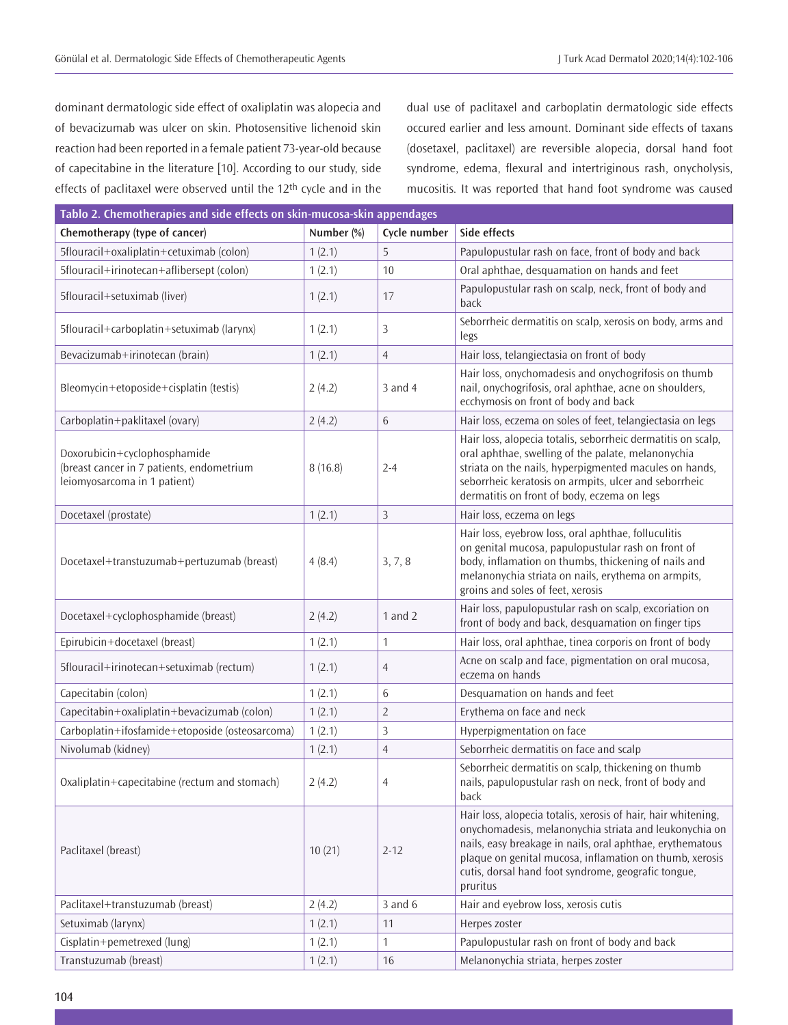dominant dermatologic side effect of oxaliplatin was alopecia and of bevacizumab was ulcer on skin. Photosensitive lichenoid skin reaction had been reported in a female patient 73-year-old because of capecitabine in the literature [10]. According to our study, side effects of paclitaxel were observed until the 12th cycle and in the dual use of paclitaxel and carboplatin dermatologic side effects occured earlier and less amount. Dominant side effects of taxans (dosetaxel, paclitaxel) are reversible alopecia, dorsal hand foot syndrome, edema, flexural and intertriginous rash, onycholysis, mucositis. It was reported that hand foot syndrome was caused

| Tablo 2. Chemotherapies and side effects on skin-mucosa-skin appendages                                   |            |                |                                                                                                                                                                                                                                                                                                                    |  |  |
|-----------------------------------------------------------------------------------------------------------|------------|----------------|--------------------------------------------------------------------------------------------------------------------------------------------------------------------------------------------------------------------------------------------------------------------------------------------------------------------|--|--|
| Chemotherapy (type of cancer)                                                                             | Number (%) | Cycle number   | Side effects                                                                                                                                                                                                                                                                                                       |  |  |
| 5flouracil+oxaliplatin+cetuximab (colon)                                                                  | 1(2.1)     | 5              | Papulopustular rash on face, front of body and back                                                                                                                                                                                                                                                                |  |  |
| 5flouracil+irinotecan+aflibersept (colon)                                                                 | 1(2.1)     | 10             | Oral aphthae, desquamation on hands and feet                                                                                                                                                                                                                                                                       |  |  |
| 5flouracil+setuximab (liver)                                                                              | 1(2.1)     | 17             | Papulopustular rash on scalp, neck, front of body and<br>back                                                                                                                                                                                                                                                      |  |  |
| 5flouracil+carboplatin+setuximab (larynx)                                                                 | 1(2.1)     | 3              | Seborrheic dermatitis on scalp, xerosis on body, arms and<br>legs                                                                                                                                                                                                                                                  |  |  |
| Bevacizumab+irinotecan (brain)                                                                            | 1(2.1)     | $\overline{4}$ | Hair loss, telangiectasia on front of body                                                                                                                                                                                                                                                                         |  |  |
| Bleomycin+etoposide+cisplatin (testis)                                                                    | 2(4.2)     | $3$ and $4$    | Hair loss, onychomadesis and onychogrifosis on thumb<br>nail, onychogrifosis, oral aphthae, acne on shoulders,<br>ecchymosis on front of body and back                                                                                                                                                             |  |  |
| Carboplatin+paklitaxel (ovary)                                                                            | 2(4.2)     | 6              | Hair loss, eczema on soles of feet, telangiectasia on legs                                                                                                                                                                                                                                                         |  |  |
| Doxorubicin+cyclophosphamide<br>(breast cancer in 7 patients, endometrium<br>leiomyosarcoma in 1 patient) | 8(16.8)    | $2 - 4$        | Hair loss, alopecia totalis, seborrheic dermatitis on scalp,<br>oral aphthae, swelling of the palate, melanonychia<br>striata on the nails, hyperpigmented macules on hands,<br>seborrheic keratosis on armpits, ulcer and seborrheic<br>dermatitis on front of body, eczema on legs                               |  |  |
| Docetaxel (prostate)                                                                                      | 1(2.1)     | 3              | Hair loss, eczema on legs                                                                                                                                                                                                                                                                                          |  |  |
| Docetaxel+transtuzumab+pertuzumab (breast)                                                                | 4(8.4)     | 3, 7, 8        | Hair loss, eyebrow loss, oral aphthae, folluculitis<br>on genital mucosa, papulopustular rash on front of<br>body, inflamation on thumbs, thickening of nails and<br>melanonychia striata on nails, erythema on armpits,<br>groins and soles of feet, xerosis                                                      |  |  |
| Docetaxel+cyclophosphamide (breast)                                                                       | 2(4.2)     | 1 and $2$      | Hair loss, papulopustular rash on scalp, excoriation on<br>front of body and back, desquamation on finger tips                                                                                                                                                                                                     |  |  |
| Epirubicin+docetaxel (breast)                                                                             | 1(2.1)     | 1              | Hair loss, oral aphthae, tinea corporis on front of body                                                                                                                                                                                                                                                           |  |  |
| 5flouracil+irinotecan+setuximab (rectum)                                                                  | 1(2.1)     | 4              | Acne on scalp and face, pigmentation on oral mucosa,<br>eczema on hands                                                                                                                                                                                                                                            |  |  |
| Capecitabin (colon)                                                                                       | 1(2.1)     | 6              | Desquamation on hands and feet                                                                                                                                                                                                                                                                                     |  |  |
| Capecitabin+oxaliplatin+bevacizumab (colon)                                                               | 1(2.1)     | $\overline{2}$ | Erythema on face and neck                                                                                                                                                                                                                                                                                          |  |  |
| Carboplatin+ifosfamide+etoposide (osteosarcoma)                                                           | 1(2.1)     | 3              | Hyperpigmentation on face                                                                                                                                                                                                                                                                                          |  |  |
| Nivolumab (kidney)                                                                                        | 1(2.1)     | $\overline{4}$ | Seborrheic dermatitis on face and scalp                                                                                                                                                                                                                                                                            |  |  |
| Oxaliplatin+capecitabine (rectum and stomach)                                                             | 2(4.2)     | 4              | Seborrheic dermatitis on scalp, thickening on thumb<br>nails, papulopustular rash on neck, front of body and<br>back                                                                                                                                                                                               |  |  |
| Paclitaxel (breast)                                                                                       | 10(21)     | $2 - 12$       | Hair loss, alopecia totalis, xerosis of hair, hair whitening,<br>onychomadesis, melanonychia striata and leukonychia on<br>nails, easy breakage in nails, oral aphthae, erythematous<br>plaque on genital mucosa, inflamation on thumb, xerosis<br>cutis, dorsal hand foot syndrome, geografic tongue,<br>pruritus |  |  |
| Paclitaxel+transtuzumab (breast)                                                                          | 2(4.2)     | $3$ and $6$    | Hair and eyebrow loss, xerosis cutis                                                                                                                                                                                                                                                                               |  |  |
| Setuximab (larynx)                                                                                        | 1(2.1)     | 11             | Herpes zoster                                                                                                                                                                                                                                                                                                      |  |  |
| Cisplatin+pemetrexed (lung)                                                                               | 1(2.1)     | $\mathbf{1}$   | Papulopustular rash on front of body and back                                                                                                                                                                                                                                                                      |  |  |
| Transtuzumab (breast)                                                                                     | 1(2.1)     | 16             | Melanonychia striata, herpes zoster                                                                                                                                                                                                                                                                                |  |  |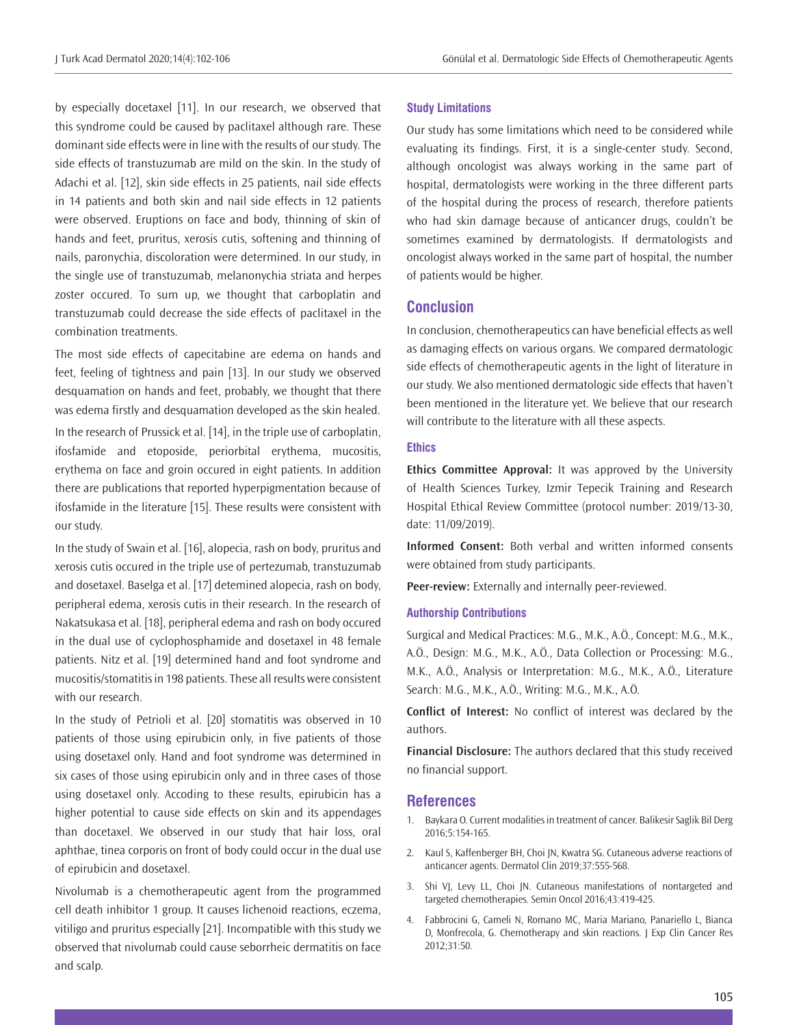by especially docetaxel [11]. In our research, we observed that this syndrome could be caused by paclitaxel although rare. These dominant side effects were in line with the results of our study. The side effects of transtuzumab are mild on the skin. In the study of Adachi et al. [12], skin side effects in 25 patients, nail side effects in 14 patients and both skin and nail side effects in 12 patients were observed. Eruptions on face and body, thinning of skin of hands and feet, pruritus, xerosis cutis, softening and thinning of nails, paronychia, discoloration were determined. In our study, in the single use of transtuzumab, melanonychia striata and herpes zoster occured. To sum up, we thought that carboplatin and transtuzumab could decrease the side effects of paclitaxel in the combination treatments.

The most side effects of capecitabine are edema on hands and feet, feeling of tightness and pain [13]. In our study we observed desquamation on hands and feet, probably, we thought that there was edema firstly and desquamation developed as the skin healed.

In the research of Prussick et al. [14], in the triple use of carboplatin, ifosfamide and etoposide, periorbital erythema, mucositis, erythema on face and groin occured in eight patients. In addition there are publications that reported hyperpigmentation because of ifosfamide in the literature [15]. These results were consistent with our study.

In the study of Swain et al. [16], alopecia, rash on body, pruritus and xerosis cutis occured in the triple use of pertezumab, transtuzumab and dosetaxel. Baselga et al. [17] detemined alopecia, rash on body, peripheral edema, xerosis cutis in their research. In the research of Nakatsukasa et al. [18], peripheral edema and rash on body occured in the dual use of cyclophosphamide and dosetaxel in 48 female patients. Nitz et al. [19] determined hand and foot syndrome and mucositis/stomatitis in 198 patients. These all results were consistent with our research.

In the study of Petrioli et al. [20] stomatitis was observed in 10 patients of those using epirubicin only, in five patients of those using dosetaxel only. Hand and foot syndrome was determined in six cases of those using epirubicin only and in three cases of those using dosetaxel only. Accoding to these results, epirubicin has a higher potential to cause side effects on skin and its appendages than docetaxel. We observed in our study that hair loss, oral aphthae, tinea corporis on front of body could occur in the dual use of epirubicin and dosetaxel.

Nivolumab is a chemotherapeutic agent from the programmed cell death inhibitor 1 group. It causes lichenoid reactions, eczema, vitiligo and pruritus especially [21]. Incompatible with this study we observed that nivolumab could cause seborrheic dermatitis on face and scalp.

#### **Study Limitations**

Our study has some limitations which need to be considered while evaluating its findings. First, it is a single-center study. Second, although oncologist was always working in the same part of hospital, dermatologists were working in the three different parts of the hospital during the process of research, therefore patients who had skin damage because of anticancer drugs, couldn't be sometimes examined by dermatologists. If dermatologists and oncologist always worked in the same part of hospital, the number of patients would be higher.

## **Conclusion**

In conclusion, chemotherapeutics can have beneficial effects as well as damaging effects on various organs. We compared dermatologic side effects of chemotherapeutic agents in the light of literature in our study. We also mentioned dermatologic side effects that haven't been mentioned in the literature yet. We believe that our research will contribute to the literature with all these aspects.

#### **Ethics**

**Ethics Committee Approval:** It was approved by the University of Health Sciences Turkey, Izmir Tepecik Training and Research Hospital Ethical Review Committee (protocol number: 2019/13-30, date: 11/09/2019).

**Informed Consent:** Both verbal and written informed consents were obtained from study participants.

**Peer-review:** Externally and internally peer-reviewed.

#### **Authorship Contributions**

Surgical and Medical Practices: M.G., M.K., A.Ö., Concept: M.G., M.K., A.Ö., Design: M.G., M.K., A.Ö., Data Collection or Processing: M.G., M.K., A.Ö., Analysis or Interpretation: M.G., M.K., A.Ö., Literature Search: M.G., M.K., A.Ö., Writing: M.G., M.K., A.Ö.

**Conflict of Interest:** No conflict of interest was declared by the authors.

**Financial Disclosure:** The authors declared that this study received no financial support.

#### **References**

- 1. Baykara O. Current modalities in treatment of cancer. Balikesir Saglik Bil Derg 2016;5:154-165.
- 2. Kaul S, Kaffenberger BH, Choi JN, Kwatra SG. Cutaneous adverse reactions of anticancer agents. Dermatol Clin 2019;37:555-568.
- 3. Shi VJ, Levy LL, Choi JN. Cutaneous manifestations of nontargeted and targeted chemotherapies. Semin Oncol 2016;43:419-425.
- 4. Fabbrocini G, Cameli N, Romano MC, Maria Mariano, Panariello L, Bianca D, Monfrecola, G. Chemotherapy and skin reactions. J Exp Clin Cancer Res 2012;31:50.